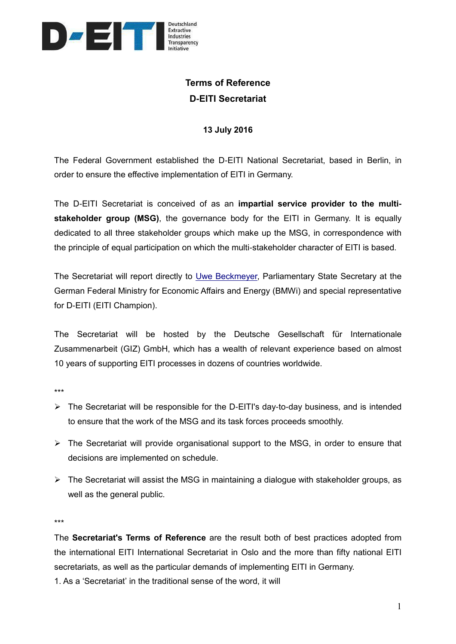

## **Terms of Reference D-EITI Secretariat**

## **13 July 2016**

The Federal Government established the D-EITI National Secretariat, based in Berlin, in order to ensure the effective implementation of EITI in Germany.

The D-EITI Secretariat is conceived of as an **impartial service provider to the multistakeholder group (MSG)**, the governance body for the EITI in Germany. It is equally dedicated to all three stakeholder groups which make up the MSG, in correspondence with the principle of equal participation on which the multi-stakeholder character of EITI is based.

The Secretariat will report directly to [Uwe Beckmeyer,](http://www.bmwi.de/EN/Ministry/minister-and-state-secretaries,did=613024.html) Parliamentary State Secretary at the German Federal Ministry for Economic Affairs and Energy (BMWi) and special representative for D-EITI (EITI Champion).

The Secretariat will be hosted by the Deutsche Gesellschaft für Internationale Zusammenarbeit (GIZ) GmbH, which has a wealth of relevant experience based on almost 10 years of supporting EITI processes in dozens of countries worldwide.

\*\*\*

- $\triangleright$  The Secretariat will be responsible for the D-EITI's day-to-day business, and is intended to ensure that the work of the MSG and its task forces proceeds smoothly.
- $\triangleright$  The Secretariat will provide organisational support to the MSG, in order to ensure that decisions are implemented on schedule.
- $\triangleright$  The Secretariat will assist the MSG in maintaining a dialogue with stakeholder groups, as well as the general public.

\*\*\*

The **Secretariat's Terms of Reference** are the result both of best practices adopted from the international EITI International Secretariat in Oslo and the more than fifty national EITI secretariats, as well as the particular demands of implementing EITI in Germany.

1. As a 'Secretariat' in the traditional sense of the word, it will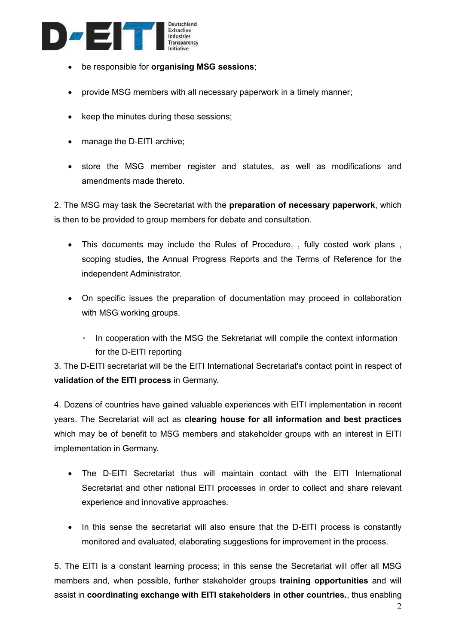

- be responsible for **organising MSG sessions**;
- provide MSG members with all necessary paperwork in a timely manner;
- keep the minutes during these sessions;
- manage the D-EITI archive;
- store the MSG member register and statutes, as well as modifications and amendments made thereto.

2. The MSG may task the Secretariat with the **preparation of necessary paperwork**, which is then to be provided to group members for debate and consultation.

- This documents may include the Rules of Procedure, , fully costed work plans , scoping studies, the Annual Progress Reports and the Terms of Reference for the independent Administrator.
- On specific issues the preparation of documentation may proceed in collaboration with MSG working groups.
	- In cooperation with the MSG the Sekretariat will compile the context information for the D-EITI reporting

3. The D-EITI secretariat will be the EITI International Secretariat's contact point in respect of **validation of the EITI process** in Germany.

4. Dozens of countries have gained valuable experiences with EITI implementation in recent years. The Secretariat will act as **clearing house for all information and best practices** which may be of benefit to MSG members and stakeholder groups with an interest in EITI implementation in Germany.

- The D-EITI Secretariat thus will maintain contact with the EITI International Secretariat and other national EITI processes in order to collect and share relevant experience and innovative approaches.
- In this sense the secretariat will also ensure that the D-EITI process is constantly monitored and evaluated, elaborating suggestions for improvement in the process.

5. The EITI is a constant learning process; in this sense the Secretariat will offer all MSG members and, when possible, further stakeholder groups **training opportunities** and will assist in **coordinating exchange with EITI stakeholders in other countries.**, thus enabling